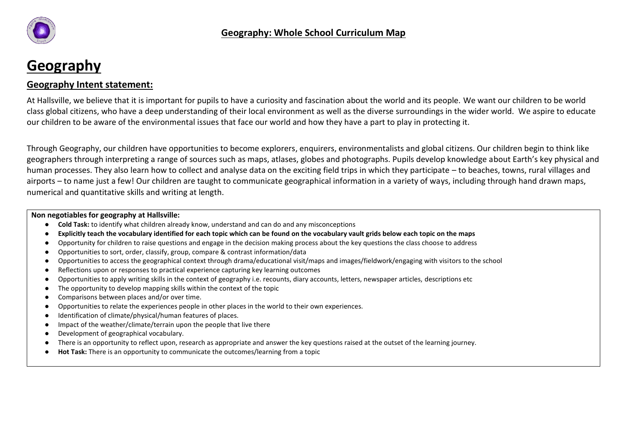

# **Geography**

# **Geography Intent statement:**

At Hallsville, we believe that it is important for pupils to have a curiosity and fascination about the world and its people. We want our children to be world class global citizens, who have a deep understanding of their local environment as well as the diverse surroundings in the wider world. We aspire to educate our children to be aware of the environmental issues that face our world and how they have a part to play in protecting it.

Through Geography, our children have opportunities to become explorers, enquirers, environmentalists and global citizens. Our children begin to think like geographers through interpreting a range of sources such as maps, atlases, globes and photographs. Pupils develop knowledge about Earth's key physical and human processes. They also learn how to collect and analyse data on the exciting field trips in which they participate – to beaches, towns, rural villages and airports – to name just a few! Our children are taught to communicate geographical information in a variety of ways, including through hand drawn maps, numerical and quantitative skills and writing at length.

## **Non negotiables for geography at Hallsville:**

- **Cold Task:** to identify what children already know, understand and can do and any misconceptions
- **Explicitly teach the vocabulary identified for each topic which can be found on the vocabulary vault grids below each topic on the maps**
- Opportunity for children to raise questions and engage in the decision making process about the key questions the class choose to address
- Opportunities to sort, order, classify, group, compare & contrast information/data
- Opportunities to access the geographical context through drama/educational visit/maps and images/fieldwork/engaging with visitors to the school
- Reflections upon or responses to practical experience capturing key learning outcomes
- Opportunities to apply writing skills in the context of geography i.e. recounts, diary accounts, letters, newspaper articles, descriptions etc
- The opportunity to develop mapping skills within the context of the topic
- Comparisons between places and/or over time.
- Opportunities to relate the experiences people in other places in the world to their own experiences.
- Identification of climate/physical/human features of places.
- Impact of the weather/climate/terrain upon the people that live there
- Development of geographical vocabulary.
- There is an opportunity to reflect upon, research as appropriate and answer the key questions raised at the outset of the learning journey.
- **Hot Task:** There is an opportunity to communicate the outcomes/learning from a topic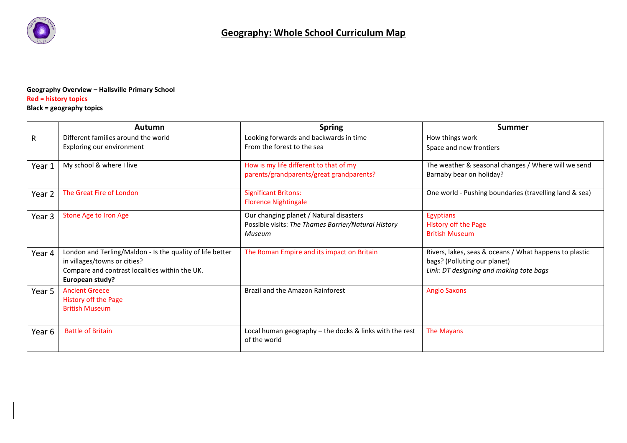

## **Geography Overview – Hallsville Primary School Red = history topics**

## **Black = geography topics**

|              | Autumn                                                                                                                                                         | <b>Spring</b>                                                                                            | <b>Summer</b>                                                                                                                     |
|--------------|----------------------------------------------------------------------------------------------------------------------------------------------------------------|----------------------------------------------------------------------------------------------------------|-----------------------------------------------------------------------------------------------------------------------------------|
| $\mathsf{R}$ | Different families around the world                                                                                                                            | Looking forwards and backwards in time                                                                   | How things work                                                                                                                   |
|              | Exploring our environment                                                                                                                                      | From the forest to the sea                                                                               | Space and new frontiers                                                                                                           |
| Year 1       | My school & where I live                                                                                                                                       | How is my life different to that of my<br>parents/grandparents/great grandparents?                       | The weather & seasonal changes / Where will we send<br>Barnaby bear on holiday?                                                   |
| Year 2       | The Great Fire of London                                                                                                                                       | <b>Significant Britons:</b><br><b>Florence Nightingale</b>                                               | One world - Pushing boundaries (travelling land & sea)                                                                            |
| Year 3       | Stone Age to Iron Age                                                                                                                                          | Our changing planet / Natural disasters<br>Possible visits: The Thames Barrier/Natural History<br>Museum | Egyptians<br>History off the Page<br><b>British Museum</b>                                                                        |
| Year 4       | London and Terling/Maldon - Is the quality of life better<br>in villages/towns or cities?<br>Compare and contrast localities within the UK.<br>European study? | The Roman Empire and its impact on Britain                                                               | Rivers, lakes, seas & oceans / What happens to plastic<br>bags? (Polluting our planet)<br>Link: DT designing and making tote bags |
| Year 5       | <b>Ancient Greece</b><br>History off the Page<br><b>British Museum</b>                                                                                         | Brazil and the Amazon Rainforest                                                                         | <b>Anglo Saxons</b>                                                                                                               |
| Year 6       | <b>Battle of Britain</b>                                                                                                                                       | Local human geography - the docks & links with the rest<br>of the world                                  | The Mayans                                                                                                                        |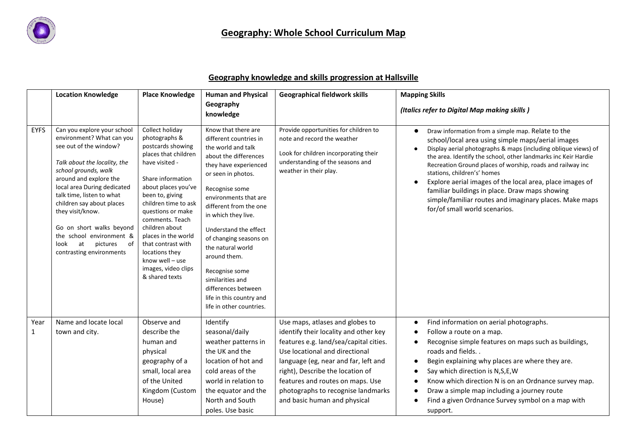

# **Geography knowledge and skills progression at Hallsville**

|                      | <b>Location Knowledge</b>                                                                                                                                                                                                                                                                                                                                                                             | <b>Place Knowledge</b>                                                                                                                                                                                                                                                                                                                                                      | <b>Human and Physical</b><br>Geography                                                                                                                                                                                                                                                                                                                                                                                                               | <b>Geographical fieldwork skills</b>                                                                                                                                                                                                                                                                                                       | <b>Mapping Skills</b><br>(Italics refer to Digital Map making skills)                                                                                                                                                                                                                                                                                                                                                                                                                                                                            |
|----------------------|-------------------------------------------------------------------------------------------------------------------------------------------------------------------------------------------------------------------------------------------------------------------------------------------------------------------------------------------------------------------------------------------------------|-----------------------------------------------------------------------------------------------------------------------------------------------------------------------------------------------------------------------------------------------------------------------------------------------------------------------------------------------------------------------------|------------------------------------------------------------------------------------------------------------------------------------------------------------------------------------------------------------------------------------------------------------------------------------------------------------------------------------------------------------------------------------------------------------------------------------------------------|--------------------------------------------------------------------------------------------------------------------------------------------------------------------------------------------------------------------------------------------------------------------------------------------------------------------------------------------|--------------------------------------------------------------------------------------------------------------------------------------------------------------------------------------------------------------------------------------------------------------------------------------------------------------------------------------------------------------------------------------------------------------------------------------------------------------------------------------------------------------------------------------------------|
|                      |                                                                                                                                                                                                                                                                                                                                                                                                       |                                                                                                                                                                                                                                                                                                                                                                             | knowledge                                                                                                                                                                                                                                                                                                                                                                                                                                            |                                                                                                                                                                                                                                                                                                                                            |                                                                                                                                                                                                                                                                                                                                                                                                                                                                                                                                                  |
| <b>EYFS</b>          | Can you explore your school<br>environment? What can you<br>see out of the window?<br>Talk about the locality, the<br>school grounds, walk<br>around and explore the<br>local area During dedicated<br>talk time, listen to what<br>children say about places<br>they visit/know.<br>Go on short walks beyond<br>the school environment &<br>at<br>pictures<br>of<br>look<br>contrasting environments | Collect holiday<br>photographs &<br>postcards showing<br>places that children<br>have visited -<br>Share information<br>about places you've<br>been to, giving<br>children time to ask<br>questions or make<br>comments. Teach<br>children about<br>places in the world<br>that contrast with<br>locations they<br>know well - use<br>images, video clips<br>& shared texts | Know that there are<br>different countries in<br>the world and talk<br>about the differences<br>they have experienced<br>or seen in photos.<br>Recognise some<br>environments that are<br>different from the one<br>in which they live.<br>Understand the effect<br>of changing seasons on<br>the natural world<br>around them.<br>Recognise some<br>similarities and<br>differences between<br>life in this country and<br>life in other countries. | Provide opportunities for children to<br>note and record the weather<br>Look for children incorporating their<br>understanding of the seasons and<br>weather in their play.                                                                                                                                                                | Draw information from a simple map. Relate to the<br>school/local area using simple maps/aerial images<br>Display aerial photographs & maps (including oblique views) of<br>the area. Identify the school, other landmarks inc Keir Hardie<br>Recreation Ground places of worship, roads and railway inc<br>stations, children's' homes<br>Explore aerial images of the local area, place images of<br>familiar buildings in place. Draw maps showing<br>simple/familiar routes and imaginary places. Make maps<br>for/of small world scenarios. |
| Year<br>$\mathbf{1}$ | Name and locate local<br>town and city.                                                                                                                                                                                                                                                                                                                                                               | Observe and<br>describe the<br>human and<br>physical<br>geography of a<br>small, local area<br>of the United<br>Kingdom (Custom<br>House)                                                                                                                                                                                                                                   | Identify<br>seasonal/daily<br>weather patterns in<br>the UK and the<br>location of hot and<br>cold areas of the<br>world in relation to<br>the equator and the<br>North and South<br>poles. Use basic                                                                                                                                                                                                                                                | Use maps, atlases and globes to<br>identify their locality and other key<br>features e.g. land/sea/capital cities.<br>Use locational and directional<br>language (eg, near and far, left and<br>right), Describe the location of<br>features and routes on maps. Use<br>photographs to recognise landmarks<br>and basic human and physical | Find information on aerial photographs.<br>Follow a route on a map.<br>Recognise simple features on maps such as buildings,<br>roads and fields<br>Begin explaining why places are where they are.<br>Say which direction is N,S,E,W<br>Know which direction N is on an Ordnance survey map.<br>Draw a simple map including a journey route<br>Find a given Ordnance Survey symbol on a map with<br>support.                                                                                                                                     |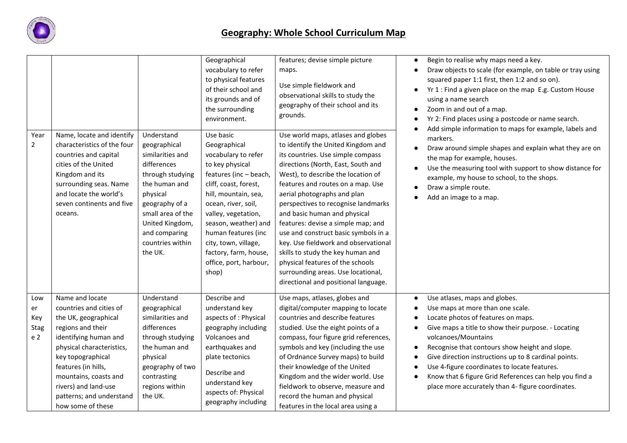

|                                        |                                                                                                                                                                                                                                                                                             |                                                                                                                                                                                                                          | Geographical<br>vocabulary to refer<br>to physical features<br>of their school and<br>its grounds and of<br>the surrounding<br>environment.                                                                                                                                                                                     | features; devise simple picture<br>maps.<br>Use simple fieldwork and<br>observational skills to study the<br>geography of their school and its<br>grounds.                                                                                                                                                                                                                                                                                                                                                                                                                                                        | Begin to realise why maps need a key.<br>$\bullet$<br>Draw objects to scale (for example, on table or tray using<br>squared paper 1:1 first, then 1:2 and so on).<br>Yr 1 : Find a given place on the map E.g. Custom House<br>$\bullet$<br>using a name search<br>Zoom in and out of a map.<br>Yr 2: Find places using a postcode or name search.                                                                                                                          |
|----------------------------------------|---------------------------------------------------------------------------------------------------------------------------------------------------------------------------------------------------------------------------------------------------------------------------------------------|--------------------------------------------------------------------------------------------------------------------------------------------------------------------------------------------------------------------------|---------------------------------------------------------------------------------------------------------------------------------------------------------------------------------------------------------------------------------------------------------------------------------------------------------------------------------|-------------------------------------------------------------------------------------------------------------------------------------------------------------------------------------------------------------------------------------------------------------------------------------------------------------------------------------------------------------------------------------------------------------------------------------------------------------------------------------------------------------------------------------------------------------------------------------------------------------------|-----------------------------------------------------------------------------------------------------------------------------------------------------------------------------------------------------------------------------------------------------------------------------------------------------------------------------------------------------------------------------------------------------------------------------------------------------------------------------|
| Year<br>$\overline{2}$                 | Name, locate and identify<br>characteristics of the four<br>countries and capital<br>cities of the United<br>Kingdom and its<br>surrounding seas. Name<br>and locate the world's<br>seven continents and five<br>oceans.                                                                    | Understand<br>geographical<br>similarities and<br>differences<br>through studying<br>the human and<br>physical<br>geography of a<br>small area of the<br>United Kingdom,<br>and comparing<br>countries within<br>the UK. | Use basic<br>Geographical<br>vocabulary to refer<br>to key physical<br>features (inc - beach,<br>cliff, coast, forest,<br>hill, mountain, sea,<br>ocean, river, soil,<br>valley, vegetation,<br>season, weather) and<br>human features (inc<br>city, town, village,<br>factory, farm, house,<br>office, port, harbour,<br>shop) | Use world maps, atlases and globes<br>to identify the United Kingdom and<br>its countries. Use simple compass<br>directions (North, East, South and<br>West), to describe the location of<br>features and routes on a map. Use<br>aerial photographs and plan<br>perspectives to recognise landmarks<br>and basic human and physical<br>features: devise a simple map; and<br>use and construct basic symbols in a<br>key. Use fieldwork and observational<br>skills to study the key human and<br>physical features of the schools<br>surrounding areas. Use locational,<br>directional and positional language. | Add simple information to maps for example, labels and<br>markers.<br>Draw around simple shapes and explain what they are on<br>$\bullet$<br>the map for example, houses.<br>Use the measuring tool with support to show distance for<br>example, my house to school, to the shops.<br>Draw a simple route.<br>Add an image to a map.                                                                                                                                       |
| Low<br>er<br>Key<br><b>Stag</b><br>e 2 | Name and locate<br>countries and cities of<br>the UK, geographical<br>regions and their<br>identifying human and<br>physical characteristics,<br>key topographical<br>features (in hills,<br>mountains, coasts and<br>rivers) and land-use<br>patterns; and understand<br>how some of these | Understand<br>geographical<br>similarities and<br>differences<br>through studying<br>the human and<br>physical<br>geography of two<br>contrasting<br>regions within<br>the UK.                                           | Describe and<br>understand key<br>aspects of : Physical<br>geography including<br>Volcanoes and<br>earthquakes and<br>plate tectonics<br>Describe and<br>understand key<br>aspects of: Physical<br>geography including                                                                                                          | Use maps, atlases, globes and<br>digital/computer mapping to locate<br>countries and describe features<br>studied. Use the eight points of a<br>compass, four figure grid references,<br>symbols and key (including the use<br>of Ordnance Survey maps) to build<br>their knowledge of the United<br>Kingdom and the wider world. Use<br>fieldwork to observe, measure and<br>record the human and physical<br>features in the local area using a                                                                                                                                                                 | Use atlases, maps and globes.<br>$\bullet$<br>Use maps at more than one scale.<br>Locate photos of features on maps.<br>Give maps a title to show their purpose. - Locating<br>volcanoes/Mountains<br>Recognise that contours show height and slope.<br>Give direction instructions up to 8 cardinal points.<br>Use 4-figure coordinates to locate features.<br>Know that 6 figure Grid References can help you find a<br>place more accurately than 4- figure coordinates. |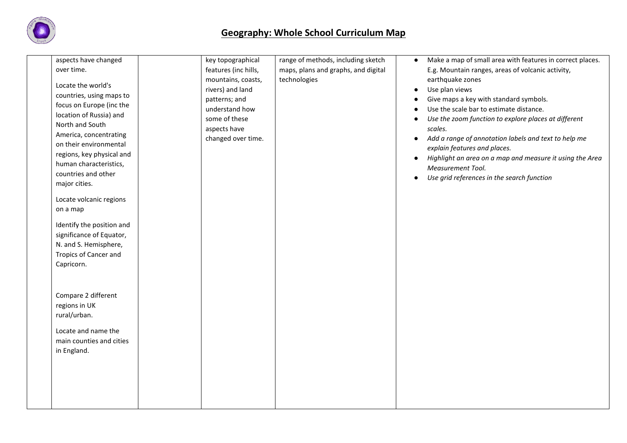

| aspects have changed<br>over time. | key topographical<br>features (inc hills, | range of methods, including sketch<br>maps, plans and graphs, and digital | $\bullet$ | Make a map of small area with features in correct places.<br>E.g. Mountain ranges, areas of volcanic activity, |
|------------------------------------|-------------------------------------------|---------------------------------------------------------------------------|-----------|----------------------------------------------------------------------------------------------------------------|
|                                    | mountains, coasts,                        | technologies                                                              |           | earthquake zones                                                                                               |
| Locate the world's                 | rivers) and land                          |                                                                           | $\bullet$ | Use plan views                                                                                                 |
| countries, using maps to           | patterns; and                             |                                                                           |           | Give maps a key with standard symbols.                                                                         |
| focus on Europe (inc the           | understand how                            |                                                                           |           | Use the scale bar to estimate distance.                                                                        |
| location of Russia) and            | some of these                             |                                                                           |           | Use the zoom function to explore places at different                                                           |
| North and South                    | aspects have                              |                                                                           |           | scales.                                                                                                        |
| America, concentrating             | changed over time.                        |                                                                           | $\bullet$ | Add a range of annotation labels and text to help me                                                           |
| on their environmental             |                                           |                                                                           |           | explain features and places.                                                                                   |
| regions, key physical and          |                                           |                                                                           | $\bullet$ | Highlight an area on a map and measure it using the Area                                                       |
| human characteristics,             |                                           |                                                                           |           | Measurement Tool.                                                                                              |
| countries and other                |                                           |                                                                           |           | Use grid references in the search function                                                                     |
| major cities.                      |                                           |                                                                           |           |                                                                                                                |
| Locate volcanic regions            |                                           |                                                                           |           |                                                                                                                |
| on a map                           |                                           |                                                                           |           |                                                                                                                |
| Identify the position and          |                                           |                                                                           |           |                                                                                                                |
| significance of Equator,           |                                           |                                                                           |           |                                                                                                                |
| N. and S. Hemisphere,              |                                           |                                                                           |           |                                                                                                                |
| <b>Tropics of Cancer and</b>       |                                           |                                                                           |           |                                                                                                                |
| Capricorn.                         |                                           |                                                                           |           |                                                                                                                |
|                                    |                                           |                                                                           |           |                                                                                                                |
|                                    |                                           |                                                                           |           |                                                                                                                |
| Compare 2 different                |                                           |                                                                           |           |                                                                                                                |
| regions in UK                      |                                           |                                                                           |           |                                                                                                                |
| rural/urban.                       |                                           |                                                                           |           |                                                                                                                |
| Locate and name the                |                                           |                                                                           |           |                                                                                                                |
| main counties and cities           |                                           |                                                                           |           |                                                                                                                |
| in England.                        |                                           |                                                                           |           |                                                                                                                |
|                                    |                                           |                                                                           |           |                                                                                                                |
|                                    |                                           |                                                                           |           |                                                                                                                |
|                                    |                                           |                                                                           |           |                                                                                                                |
|                                    |                                           |                                                                           |           |                                                                                                                |
|                                    |                                           |                                                                           |           |                                                                                                                |
|                                    |                                           |                                                                           |           |                                                                                                                |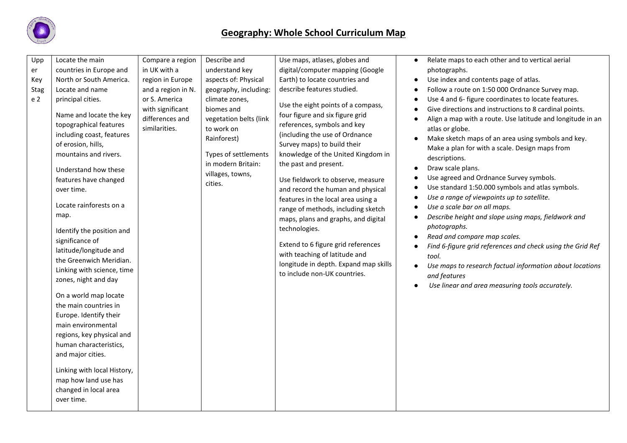

| Upp<br>er<br>Key<br><b>Stag</b><br>e 2 | Locate the main<br>countries in Europe and<br>North or South America.<br>Locate and name<br>principal cities.<br>Name and locate the key<br>topographical features<br>including coast, features<br>of erosion, hills,<br>mountains and rivers.<br>Understand how these<br>features have changed<br>over time.<br>Locate rainforests on a<br>map.<br>Identify the position and<br>significance of<br>latitude/longitude and<br>the Greenwich Meridian.<br>Linking with science, time<br>zones, night and day<br>On a world map locate<br>the main countries in<br>Europe. Identify their<br>main environmental<br>regions, key physical and<br>human characteristics,<br>and major cities.<br>Linking with local History,<br>map how land use has<br>changed in local area<br>over time. | Compare a region<br>in UK with a<br>region in Europe<br>and a region in N.<br>or S. America<br>with significant<br>differences and<br>similarities. | Describe and<br>understand key<br>aspects of: Physical<br>geography, including:<br>climate zones,<br>biomes and<br>vegetation belts (link<br>to work on<br>Rainforest)<br>Types of settlements<br>in modern Britain:<br>villages, towns,<br>cities. | Use maps, atlases, globes and<br>digital/computer mapping (Google<br>Earth) to locate countries and<br>describe features studied.<br>Use the eight points of a compass,<br>four figure and six figure grid<br>references, symbols and key<br>(including the use of Ordnance<br>Survey maps) to build their<br>knowledge of the United Kingdom in<br>the past and present.<br>Use fieldwork to observe, measure<br>and record the human and physical<br>features in the local area using a<br>range of methods, including sketch<br>maps, plans and graphs, and digital<br>technologies.<br>Extend to 6 figure grid references<br>with teaching of latitude and<br>longitude in depth. Expand map skills<br>to include non-UK countries. |  | Relate maps to each other and to vertical aerial<br>photographs.<br>Use index and contents page of atlas.<br>Follow a route on 1:50 000 Ordnance Survey map.<br>Use 4 and 6- figure coordinates to locate features.<br>Give directions and instructions to 8 cardinal points.<br>Align a map with a route. Use latitude and longitude in an<br>atlas or globe.<br>Make sketch maps of an area using symbols and key.<br>Make a plan for with a scale. Design maps from<br>descriptions.<br>Draw scale plans.<br>Use agreed and Ordnance Survey symbols.<br>Use standard 1:50.000 symbols and atlas symbols.<br>Use a range of viewpoints up to satellite.<br>Use a scale bar on all maps.<br>Describe height and slope using maps, fieldwork and<br>photographs.<br>Read and compare map scales.<br>Find 6-figure grid references and check using the Grid Ref<br>tool.<br>Use maps to research factual information about locations<br>and features<br>Use linear and area measuring tools accurately. |
|----------------------------------------|-----------------------------------------------------------------------------------------------------------------------------------------------------------------------------------------------------------------------------------------------------------------------------------------------------------------------------------------------------------------------------------------------------------------------------------------------------------------------------------------------------------------------------------------------------------------------------------------------------------------------------------------------------------------------------------------------------------------------------------------------------------------------------------------|-----------------------------------------------------------------------------------------------------------------------------------------------------|-----------------------------------------------------------------------------------------------------------------------------------------------------------------------------------------------------------------------------------------------------|-----------------------------------------------------------------------------------------------------------------------------------------------------------------------------------------------------------------------------------------------------------------------------------------------------------------------------------------------------------------------------------------------------------------------------------------------------------------------------------------------------------------------------------------------------------------------------------------------------------------------------------------------------------------------------------------------------------------------------------------|--|--------------------------------------------------------------------------------------------------------------------------------------------------------------------------------------------------------------------------------------------------------------------------------------------------------------------------------------------------------------------------------------------------------------------------------------------------------------------------------------------------------------------------------------------------------------------------------------------------------------------------------------------------------------------------------------------------------------------------------------------------------------------------------------------------------------------------------------------------------------------------------------------------------------------------------------------------------------------------------------------------------|
|----------------------------------------|-----------------------------------------------------------------------------------------------------------------------------------------------------------------------------------------------------------------------------------------------------------------------------------------------------------------------------------------------------------------------------------------------------------------------------------------------------------------------------------------------------------------------------------------------------------------------------------------------------------------------------------------------------------------------------------------------------------------------------------------------------------------------------------------|-----------------------------------------------------------------------------------------------------------------------------------------------------|-----------------------------------------------------------------------------------------------------------------------------------------------------------------------------------------------------------------------------------------------------|-----------------------------------------------------------------------------------------------------------------------------------------------------------------------------------------------------------------------------------------------------------------------------------------------------------------------------------------------------------------------------------------------------------------------------------------------------------------------------------------------------------------------------------------------------------------------------------------------------------------------------------------------------------------------------------------------------------------------------------------|--|--------------------------------------------------------------------------------------------------------------------------------------------------------------------------------------------------------------------------------------------------------------------------------------------------------------------------------------------------------------------------------------------------------------------------------------------------------------------------------------------------------------------------------------------------------------------------------------------------------------------------------------------------------------------------------------------------------------------------------------------------------------------------------------------------------------------------------------------------------------------------------------------------------------------------------------------------------------------------------------------------------|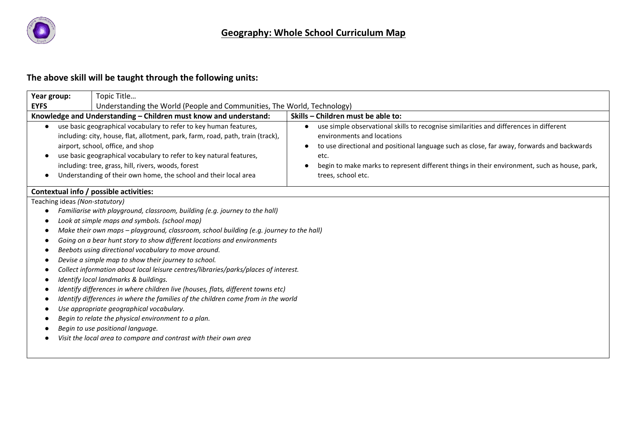

# **The above skill will be taught through the following units:**

| Year group:                         | Topic Title                                                                                                                                                                                                                                                                                                                                                                                 |                                                                                                                                                                                                                                                                                                                                                  |
|-------------------------------------|---------------------------------------------------------------------------------------------------------------------------------------------------------------------------------------------------------------------------------------------------------------------------------------------------------------------------------------------------------------------------------------------|--------------------------------------------------------------------------------------------------------------------------------------------------------------------------------------------------------------------------------------------------------------------------------------------------------------------------------------------------|
| <b>EYFS</b>                         | Understanding the World (People and Communities, The World, Technology)                                                                                                                                                                                                                                                                                                                     |                                                                                                                                                                                                                                                                                                                                                  |
|                                     | Knowledge and Understanding - Children must know and understand:                                                                                                                                                                                                                                                                                                                            | Skills - Children must be able to:                                                                                                                                                                                                                                                                                                               |
| $\bullet$<br>$\bullet$<br>$\bullet$ | use basic geographical vocabulary to refer to key human features,<br>including: city, house, flat, allotment, park, farm, road, path, train (track),<br>airport, school, office, and shop<br>use basic geographical vocabulary to refer to key natural features,<br>including: tree, grass, hill, rivers, woods, forest<br>Understanding of their own home, the school and their local area | use simple observational skills to recognise similarities and differences in different<br>environments and locations<br>to use directional and positional language such as close, far away, forwards and backwards<br>etc.<br>begin to make marks to represent different things in their environment, such as house, park,<br>trees, school etc. |
|                                     | Contextual info / possible activities:                                                                                                                                                                                                                                                                                                                                                      |                                                                                                                                                                                                                                                                                                                                                  |
| Teaching ideas (Non-statutory)      |                                                                                                                                                                                                                                                                                                                                                                                             |                                                                                                                                                                                                                                                                                                                                                  |
|                                     | Familiarise with playground, classroom, building (e.g. journey to the hall)                                                                                                                                                                                                                                                                                                                 |                                                                                                                                                                                                                                                                                                                                                  |
|                                     | Look at simple maps and symbols. (school map)                                                                                                                                                                                                                                                                                                                                               |                                                                                                                                                                                                                                                                                                                                                  |
| ٠                                   | Make their own maps - playground, classroom, school building (e.g. journey to the hall)                                                                                                                                                                                                                                                                                                     |                                                                                                                                                                                                                                                                                                                                                  |
|                                     | Going on a bear hunt story to show different locations and environments                                                                                                                                                                                                                                                                                                                     |                                                                                                                                                                                                                                                                                                                                                  |
|                                     | Beebots using directional vocabulary to move around.                                                                                                                                                                                                                                                                                                                                        |                                                                                                                                                                                                                                                                                                                                                  |
|                                     | Devise a simple map to show their journey to school.                                                                                                                                                                                                                                                                                                                                        |                                                                                                                                                                                                                                                                                                                                                  |
|                                     | Collect information about local leisure centres/libraries/parks/places of interest.                                                                                                                                                                                                                                                                                                         |                                                                                                                                                                                                                                                                                                                                                  |
|                                     | Identify local landmarks & buildings.                                                                                                                                                                                                                                                                                                                                                       |                                                                                                                                                                                                                                                                                                                                                  |
|                                     | Identify differences in where children live (houses, flats, different towns etc)                                                                                                                                                                                                                                                                                                            |                                                                                                                                                                                                                                                                                                                                                  |
|                                     | Identify differences in where the families of the children come from in the world                                                                                                                                                                                                                                                                                                           |                                                                                                                                                                                                                                                                                                                                                  |
|                                     | Use appropriate geographical vocabulary.                                                                                                                                                                                                                                                                                                                                                    |                                                                                                                                                                                                                                                                                                                                                  |
|                                     | Begin to relate the physical environment to a plan.                                                                                                                                                                                                                                                                                                                                         |                                                                                                                                                                                                                                                                                                                                                  |
|                                     | Begin to use positional language.                                                                                                                                                                                                                                                                                                                                                           |                                                                                                                                                                                                                                                                                                                                                  |
|                                     | Visit the local area to compare and contrast with their own area                                                                                                                                                                                                                                                                                                                            |                                                                                                                                                                                                                                                                                                                                                  |
|                                     |                                                                                                                                                                                                                                                                                                                                                                                             |                                                                                                                                                                                                                                                                                                                                                  |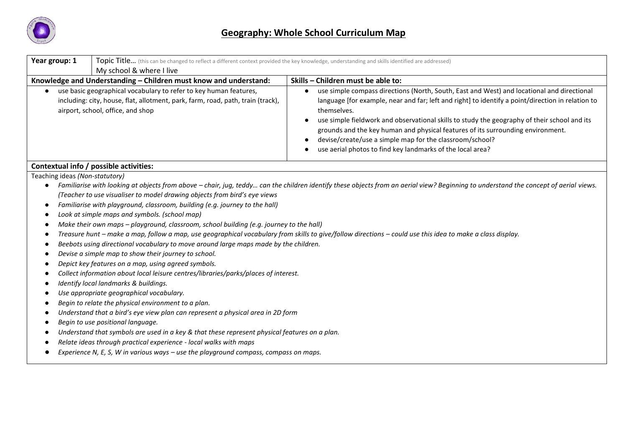

| Year group: 1<br>My school & where I live                                                                                                                                                                                                                                                                                                                                                                                                                                                                                                                                                                                                                                                                                                                                                                                                                                                                                                                                                                                                                                           | Topic Title (this can be changed to reflect a different context provided the key knowledge, understanding and skills identified are addressed)                                                                                                                                                                                                                                                                                                                                                                                           |
|-------------------------------------------------------------------------------------------------------------------------------------------------------------------------------------------------------------------------------------------------------------------------------------------------------------------------------------------------------------------------------------------------------------------------------------------------------------------------------------------------------------------------------------------------------------------------------------------------------------------------------------------------------------------------------------------------------------------------------------------------------------------------------------------------------------------------------------------------------------------------------------------------------------------------------------------------------------------------------------------------------------------------------------------------------------------------------------|------------------------------------------------------------------------------------------------------------------------------------------------------------------------------------------------------------------------------------------------------------------------------------------------------------------------------------------------------------------------------------------------------------------------------------------------------------------------------------------------------------------------------------------|
| Knowledge and Understanding - Children must know and understand:                                                                                                                                                                                                                                                                                                                                                                                                                                                                                                                                                                                                                                                                                                                                                                                                                                                                                                                                                                                                                    | Skills - Children must be able to:                                                                                                                                                                                                                                                                                                                                                                                                                                                                                                       |
| use basic geographical vocabulary to refer to key human features,<br>$\bullet$<br>including: city, house, flat, allotment, park, farm, road, path, train (track),<br>airport, school, office, and shop                                                                                                                                                                                                                                                                                                                                                                                                                                                                                                                                                                                                                                                                                                                                                                                                                                                                              | use simple compass directions (North, South, East and West) and locational and directional<br>language [for example, near and far; left and right] to identify a point/direction in relation to<br>themselves.<br>use simple fieldwork and observational skills to study the geography of their school and its<br>grounds and the key human and physical features of its surrounding environment.<br>devise/create/use a simple map for the classroom/school?<br>$\bullet$<br>use aerial photos to find key landmarks of the local area? |
| Contextual info / possible activities:                                                                                                                                                                                                                                                                                                                                                                                                                                                                                                                                                                                                                                                                                                                                                                                                                                                                                                                                                                                                                                              |                                                                                                                                                                                                                                                                                                                                                                                                                                                                                                                                          |
| (Teacher to use visualiser to model drawing objects from bird's eye views<br>Familiarise with playground, classroom, building (e.g. journey to the hall)<br>$\bullet$<br>Look at simple maps and symbols. (school map)<br>$\bullet$<br>Make their own maps - playground, classroom, school building (e.g. journey to the hall)<br>Beebots using directional vocabulary to move around large maps made by the children.<br>Devise a simple map to show their journey to school.<br>Depict key features on a map, using agreed symbols.<br>Collect information about local leisure centres/libraries/parks/places of interest.<br>Identify local landmarks & buildings.<br>$\bullet$<br>Use appropriate geographical vocabulary.<br>Begin to relate the physical environment to a plan.<br>Understand that a bird's eye view plan can represent a physical area in 2D form<br>Begin to use positional language.<br>Understand that symbols are used in a key & that these represent physical features on a plan.<br>Relate ideas through practical experience - local walks with maps | Familiarise with looking at objects from above - chair, jug, teddy can the children identify these objects from an aerial view? Beginning to understand the concept of aerial views.<br>Treasure hunt - make a map, follow a map, use geographical vocabulary from skills to give/follow directions - could use this idea to make a class display.                                                                                                                                                                                       |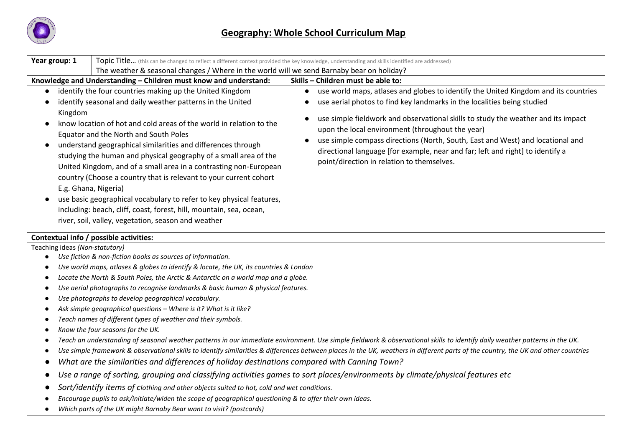

| Year group: 1<br>Topic Title (this can be changed to reflect a different context provided the key knowledge, understanding and skills identified are addressed)                                                                                                                                                                                                                                                                                                                                                                                                                                                                                                                                                                                                            |                                                                                                                                                                                                                                                                                                                                                                                                                                                                                                                                        |  |  |  |  |  |
|----------------------------------------------------------------------------------------------------------------------------------------------------------------------------------------------------------------------------------------------------------------------------------------------------------------------------------------------------------------------------------------------------------------------------------------------------------------------------------------------------------------------------------------------------------------------------------------------------------------------------------------------------------------------------------------------------------------------------------------------------------------------------|----------------------------------------------------------------------------------------------------------------------------------------------------------------------------------------------------------------------------------------------------------------------------------------------------------------------------------------------------------------------------------------------------------------------------------------------------------------------------------------------------------------------------------------|--|--|--|--|--|
| The weather & seasonal changes / Where in the world will we send Barnaby bear on holiday?                                                                                                                                                                                                                                                                                                                                                                                                                                                                                                                                                                                                                                                                                  |                                                                                                                                                                                                                                                                                                                                                                                                                                                                                                                                        |  |  |  |  |  |
| Knowledge and Understanding - Children must know and understand:                                                                                                                                                                                                                                                                                                                                                                                                                                                                                                                                                                                                                                                                                                           | Skills - Children must be able to:                                                                                                                                                                                                                                                                                                                                                                                                                                                                                                     |  |  |  |  |  |
| identify the four countries making up the United Kingdom<br>identify seasonal and daily weather patterns in the United<br>Kingdom<br>know location of hot and cold areas of the world in relation to the<br>Equator and the North and South Poles<br>understand geographical similarities and differences through<br>$\bullet$<br>studying the human and physical geography of a small area of the<br>United Kingdom, and of a small area in a contrasting non-European<br>country (Choose a country that is relevant to your current cohort<br>E.g. Ghana, Nigeria)<br>use basic geographical vocabulary to refer to key physical features,<br>including: beach, cliff, coast, forest, hill, mountain, sea, ocean,<br>river, soil, valley, vegetation, season and weather | use world maps, atlases and globes to identify the United Kingdom and its countries<br>use aerial photos to find key landmarks in the localities being studied<br>use simple fieldwork and observational skills to study the weather and its impact<br>upon the local environment (throughout the year)<br>use simple compass directions (North, South, East and West) and locational and<br>$\bullet$<br>directional language [for example, near and far; left and right] to identify a<br>point/direction in relation to themselves. |  |  |  |  |  |
| Contextual info / possible activities:                                                                                                                                                                                                                                                                                                                                                                                                                                                                                                                                                                                                                                                                                                                                     |                                                                                                                                                                                                                                                                                                                                                                                                                                                                                                                                        |  |  |  |  |  |
| Teaching ideas (Non-statutory)                                                                                                                                                                                                                                                                                                                                                                                                                                                                                                                                                                                                                                                                                                                                             |                                                                                                                                                                                                                                                                                                                                                                                                                                                                                                                                        |  |  |  |  |  |
| Use fiction & non-fiction books as sources of information.<br>$\bullet$                                                                                                                                                                                                                                                                                                                                                                                                                                                                                                                                                                                                                                                                                                    |                                                                                                                                                                                                                                                                                                                                                                                                                                                                                                                                        |  |  |  |  |  |
| Use world maps, atlases & globes to identify & locate, the UK, its countries & London                                                                                                                                                                                                                                                                                                                                                                                                                                                                                                                                                                                                                                                                                      |                                                                                                                                                                                                                                                                                                                                                                                                                                                                                                                                        |  |  |  |  |  |
| Locate the North & South Poles, the Arctic & Antarctic on a world map and a globe.<br>$\bullet$                                                                                                                                                                                                                                                                                                                                                                                                                                                                                                                                                                                                                                                                            |                                                                                                                                                                                                                                                                                                                                                                                                                                                                                                                                        |  |  |  |  |  |
| Use aerial photographs to recognise landmarks & basic human & physical features.<br>$\bullet$                                                                                                                                                                                                                                                                                                                                                                                                                                                                                                                                                                                                                                                                              |                                                                                                                                                                                                                                                                                                                                                                                                                                                                                                                                        |  |  |  |  |  |
| Use photographs to develop geographical vocabulary.                                                                                                                                                                                                                                                                                                                                                                                                                                                                                                                                                                                                                                                                                                                        |                                                                                                                                                                                                                                                                                                                                                                                                                                                                                                                                        |  |  |  |  |  |
| Ask simple geographical questions - Where is it? What is it like?                                                                                                                                                                                                                                                                                                                                                                                                                                                                                                                                                                                                                                                                                                          |                                                                                                                                                                                                                                                                                                                                                                                                                                                                                                                                        |  |  |  |  |  |
| Teach names of different types of weather and their symbols.<br>$\bullet$                                                                                                                                                                                                                                                                                                                                                                                                                                                                                                                                                                                                                                                                                                  |                                                                                                                                                                                                                                                                                                                                                                                                                                                                                                                                        |  |  |  |  |  |
| Know the four seasons for the UK.<br>$\bullet$                                                                                                                                                                                                                                                                                                                                                                                                                                                                                                                                                                                                                                                                                                                             |                                                                                                                                                                                                                                                                                                                                                                                                                                                                                                                                        |  |  |  |  |  |
| $\bullet$                                                                                                                                                                                                                                                                                                                                                                                                                                                                                                                                                                                                                                                                                                                                                                  | Teach an understanding of seasonal weather patterns in our immediate environment. Use simple fieldwork & observational skills to identify daily weather patterns in the UK.                                                                                                                                                                                                                                                                                                                                                            |  |  |  |  |  |
|                                                                                                                                                                                                                                                                                                                                                                                                                                                                                                                                                                                                                                                                                                                                                                            | Use simple framework & observational skills to identify similarities & differences between places in the UK, weathers in different parts of the country, the UK and other countries                                                                                                                                                                                                                                                                                                                                                    |  |  |  |  |  |
| What are the similarities and differences of holiday destinations compared with Canning Town?<br>$\bullet$                                                                                                                                                                                                                                                                                                                                                                                                                                                                                                                                                                                                                                                                 |                                                                                                                                                                                                                                                                                                                                                                                                                                                                                                                                        |  |  |  |  |  |
|                                                                                                                                                                                                                                                                                                                                                                                                                                                                                                                                                                                                                                                                                                                                                                            | Use a range of sorting, grouping and classifying activities games to sort places/environments by climate/physical features etc                                                                                                                                                                                                                                                                                                                                                                                                         |  |  |  |  |  |
| Sort/identify items of clothing and other objects suited to hot, cold and wet conditions.                                                                                                                                                                                                                                                                                                                                                                                                                                                                                                                                                                                                                                                                                  |                                                                                                                                                                                                                                                                                                                                                                                                                                                                                                                                        |  |  |  |  |  |
| Encourage pupils to ask/initiate/widen the scope of geographical questioning & to offer their own ideas.                                                                                                                                                                                                                                                                                                                                                                                                                                                                                                                                                                                                                                                                   |                                                                                                                                                                                                                                                                                                                                                                                                                                                                                                                                        |  |  |  |  |  |

● *Which parts of the UK might Barnaby Bear want to visit? (postcards)*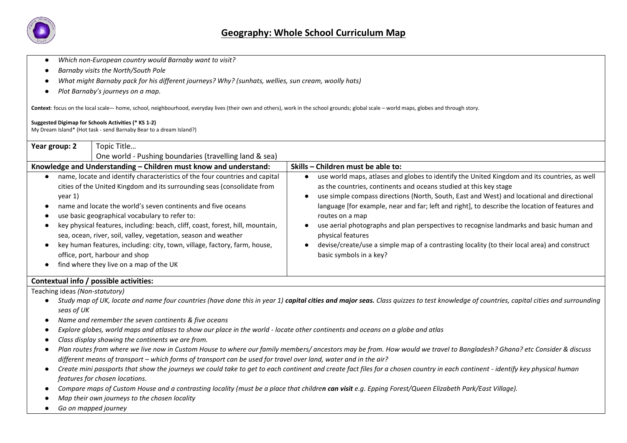

- Which non-European country would Barnaby want to visit?
- *Barnaby visits the North/South Pole*
- *What might Barnaby pack for his different journeys? Why? (sunhats, wellies, sun cream, woolly hats)*
- *Plot Barnaby's journeys on a map.*

**Context**: focus on the local scale–- home, school, neighbourhood, everyday lives (their own and others), work in the school grounds; global scale – world maps, globes and through story.

#### **Suggested Digimap for Schools Activities (\* KS 1-2)**

My Dream Island\* (Hot task - send Barnaby Bear to a dream Island?)

| Year group: 2                                               | Topic Title                                                                                                                                                                                                                                                                                                                                                                                                                                                                                                                                                                             |                                                                                                                                                                                                                                                                                                                                                                                                                                                                                                                                                                                                                                 |  |
|-------------------------------------------------------------|-----------------------------------------------------------------------------------------------------------------------------------------------------------------------------------------------------------------------------------------------------------------------------------------------------------------------------------------------------------------------------------------------------------------------------------------------------------------------------------------------------------------------------------------------------------------------------------------|---------------------------------------------------------------------------------------------------------------------------------------------------------------------------------------------------------------------------------------------------------------------------------------------------------------------------------------------------------------------------------------------------------------------------------------------------------------------------------------------------------------------------------------------------------------------------------------------------------------------------------|--|
|                                                             | One world - Pushing boundaries (travelling land & sea)                                                                                                                                                                                                                                                                                                                                                                                                                                                                                                                                  |                                                                                                                                                                                                                                                                                                                                                                                                                                                                                                                                                                                                                                 |  |
|                                                             | Knowledge and Understanding – Children must know and understand:                                                                                                                                                                                                                                                                                                                                                                                                                                                                                                                        | Skills – Children must be able to:                                                                                                                                                                                                                                                                                                                                                                                                                                                                                                                                                                                              |  |
| year 1)<br>$\bullet$<br>$\bullet$<br>$\bullet$<br>$\bullet$ | name, locate and identify characteristics of the four countries and capital<br>cities of the United Kingdom and its surrounding seas (consolidate from<br>name and locate the world's seven continents and five oceans<br>use basic geographical vocabulary to refer to:<br>key physical features, including: beach, cliff, coast, forest, hill, mountain,<br>sea, ocean, river, soil, valley, vegetation, season and weather<br>key human features, including: city, town, village, factory, farm, house,<br>office, port, harbour and shop<br>find where they live on a map of the UK | use world maps, atlases and globes to identify the United Kingdom and its countries, as well<br>as the countries, continents and oceans studied at this key stage<br>use simple compass directions (North, South, East and West) and locational and directional<br>language [for example, near and far; left and right], to describe the location of features and<br>routes on a map<br>use aerial photographs and plan perspectives to recognise landmarks and basic human and<br>physical features<br>devise/create/use a simple map of a contrasting locality (to their local area) and construct<br>basic symbols in a key? |  |

#### **Contextual info / possible activities:**

Teaching ideas *(Non-statutory)*

- Study map of UK, locate and name four countries (have done this in year 1) **capital cities and major seas.** Class quizzes to test knowledge of countries, capital cities and surrounding *seas of UK*
- *Name and remember the seven continents & five oceans*
- *Explore globes, world maps and atlases to show our place in the world - locate other continents and oceans on a globe and atlas*
- *Class display showing the continents we are from.*
- *Plan routes from where we live now in Custom House to where our family members/ ancestors may be from. How would we travel to Bangladesh? Ghana? etc Consider & discuss different means of transport – which forms of transport can be used for travel over land, water and in the air?*
- *Create mini passports that show the journeys we could take to get to each continent and create fact files for a chosen country in each continent - identify key physical human features for chosen locations.*
- *Compare maps of Custom House and a contrasting locality (must be a place that children can visit e.g. Epping Forest/Queen Elizabeth Park/East Village).*
- *Map their own journeys to the chosen locality*
- *Go on mapped journey*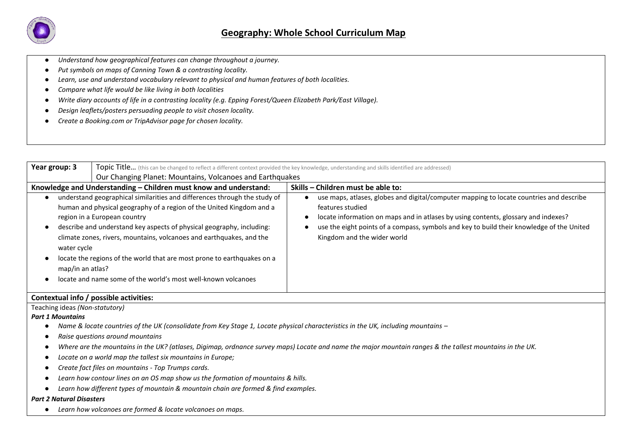

- Understand how geographical features can change throughout a journey.
- *Put symbols on maps of Canning Town & a contrasting locality.*
- *Learn, use and understand vocabulary relevant to physical and human features of both localities.*
- *Compare what life would be like living in both localities*
- *Write diary accounts of life in a contrasting locality (e.g. Epping Forest/Queen Elizabeth Park/East Village).*
- *Design leaflets/posters persuading people to visit chosen locality.*
- *Create a Booking.com or TripAdvisor page for chosen locality.*

| Year group: 3<br><b>Topic Title</b> (this can be changed to reflect a different context provided the key knowledge, understanding and skills identified are addressed) |                                                                                                                                                                                                                                                                                                                                                                                                                                                                                |                                                                                                                                                                                                                                                                                                                               |  |
|------------------------------------------------------------------------------------------------------------------------------------------------------------------------|--------------------------------------------------------------------------------------------------------------------------------------------------------------------------------------------------------------------------------------------------------------------------------------------------------------------------------------------------------------------------------------------------------------------------------------------------------------------------------|-------------------------------------------------------------------------------------------------------------------------------------------------------------------------------------------------------------------------------------------------------------------------------------------------------------------------------|--|
|                                                                                                                                                                        | Our Changing Planet: Mountains, Volcanoes and Earthquakes                                                                                                                                                                                                                                                                                                                                                                                                                      |                                                                                                                                                                                                                                                                                                                               |  |
|                                                                                                                                                                        | Knowledge and Understanding - Children must know and understand:                                                                                                                                                                                                                                                                                                                                                                                                               | Skills – Children must be able to:                                                                                                                                                                                                                                                                                            |  |
| water cycle<br>map/in an atlas?                                                                                                                                        | understand geographical similarities and differences through the study of<br>human and physical geography of a region of the United Kingdom and a<br>region in a European country<br>describe and understand key aspects of physical geography, including:<br>climate zones, rivers, mountains, volcanoes and earthquakes, and the<br>locate the regions of the world that are most prone to earthquakes on a<br>locate and name some of the world's most well-known volcanoes | use maps, atlases, globes and digital/computer mapping to locate countries and describe<br>features studied<br>locate information on maps and in atlases by using contents, glossary and indexes?<br>use the eight points of a compass, symbols and key to build their knowledge of the United<br>Kingdom and the wider world |  |

### **Contextual info / possible activities:**

Teaching ideas *(Non-statutory)*

*Part 1 Mountains* 

- *Name & locate countries of the UK (consolidate from Key Stage 1, Locate physical characteristics in the UK, including mountains –*
- *Raise questions around mountains*
- *Where are the mountains in the UK? (atlases, Digimap, ordnance survey maps) Locate and name the major mountain ranges & the tallest mountains in the UK.*
- *Locate on a world map the tallest six mountains in Europe;*
- *Create fact files on mountains - Top Trumps cards.*
- *Learn how contour lines on an OS map show us the formation of mountains & hills.*
- *Learn how different types of mountain & mountain chain are formed & find examples.*

#### *Part 2 Natural Disasters*

● *Learn how volcanoes are formed & locate volcanoes on maps.*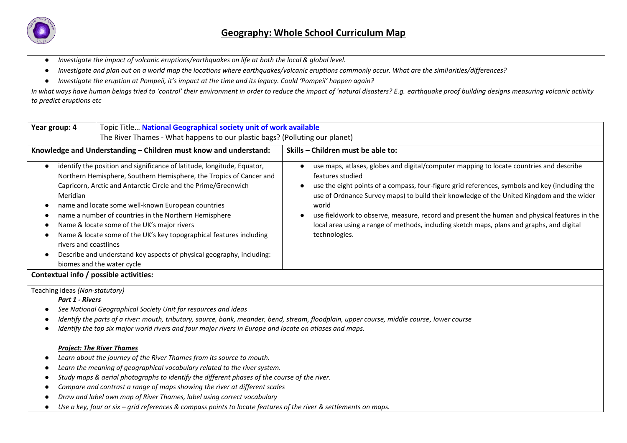

- *Investigate the impact of volcanic eruptions/earthquakes on life at both the local & global level.*
- *Investigate and plan out on a world map the locations where earthquakes/volcanic eruptions commonly occur. What are the similarities/differences?*
- *Investigate the eruption at Pompeii, it's impact at the time and its legacy. Could 'Pompeii' happen again?*

*In what ways have human beings tried to 'control' their environment in order to reduce the impact of 'natural disasters? E.g. earthquake proof building designs measuring volcanic activity to predict eruptions etc* 

| Year group: 4                          | Topic Title National Geographical society unit of work available<br>The River Thames - What happens to our plastic bags? (Polluting our planet)                                                                                                                                                                                                                                                                                                                                                                                                              |                                                                                                                                                                                                                                                                                                                                                                                                                                                                                                                                   |  |  |  |
|----------------------------------------|--------------------------------------------------------------------------------------------------------------------------------------------------------------------------------------------------------------------------------------------------------------------------------------------------------------------------------------------------------------------------------------------------------------------------------------------------------------------------------------------------------------------------------------------------------------|-----------------------------------------------------------------------------------------------------------------------------------------------------------------------------------------------------------------------------------------------------------------------------------------------------------------------------------------------------------------------------------------------------------------------------------------------------------------------------------------------------------------------------------|--|--|--|
|                                        | Knowledge and Understanding – Children must know and understand:                                                                                                                                                                                                                                                                                                                                                                                                                                                                                             | Skills – Children must be able to:                                                                                                                                                                                                                                                                                                                                                                                                                                                                                                |  |  |  |
| Meridian<br>rivers and coastlines      | identify the position and significance of latitude, longitude, Equator,<br>Northern Hemisphere, Southern Hemisphere, the Tropics of Cancer and<br>Capricorn, Arctic and Antarctic Circle and the Prime/Greenwich<br>name and locate some well-known European countries<br>name a number of countries in the Northern Hemisphere<br>Name & locate some of the UK's major rivers<br>Name & locate some of the UK's key topographical features including<br>Describe and understand key aspects of physical geography, including:<br>biomes and the water cycle | use maps, atlases, globes and digital/computer mapping to locate countries and describe<br>features studied<br>use the eight points of a compass, four-figure grid references, symbols and key (including the<br>use of Ordnance Survey maps) to build their knowledge of the United Kingdom and the wider<br>world<br>use fieldwork to observe, measure, record and present the human and physical features in the<br>local area using a range of methods, including sketch maps, plans and graphs, and digital<br>technologies. |  |  |  |
| Contextual info / possible activities: |                                                                                                                                                                                                                                                                                                                                                                                                                                                                                                                                                              |                                                                                                                                                                                                                                                                                                                                                                                                                                                                                                                                   |  |  |  |

Teaching ideas *(Non-statutory)*

*Part 1 - Rivers*

- *See National Geographical Society Unit for resources and ideas*
- *Identify the parts of a river: mouth, tributary, source, bank, meander, bend, stream, floodplain, upper course, middle course, lower course*
- *Identify the top six major world rivers and four major rivers in Europe and locate on atlases and maps.*

## *Project: The River Thames*

- *Learn about the journey of the River Thames from its source to mouth.*
- *Learn the meaning of geographical vocabulary related to the river system.*
- *Study maps & aerial photographs to identify the different phases of the course of the river.*
- *Compare and contrast a range of maps showing the river at different scales*
- *Draw and label own map of River Thames, label using correct vocabulary*
- *Use a key, four or six – grid references & compass points to locate features of the river & settlements on maps.*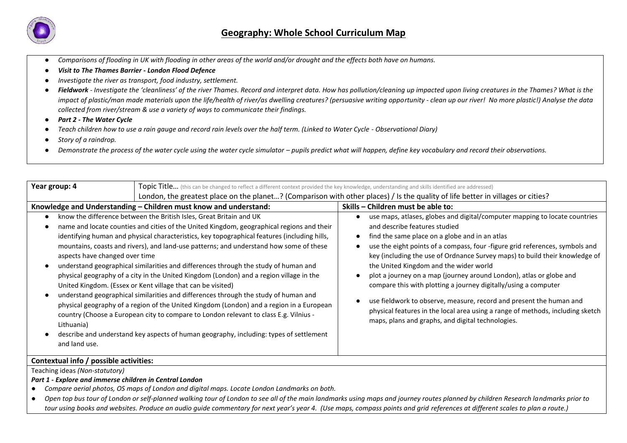

- *Comparisons of flooding in UK with flooding in other areas of the world and/or drought and the effects both have on humans.*
- *Visit to The Thames Barrier - London Flood Defence*
- *Investigate the river as transport, food industry, settlement.*
- *Fieldwork - Investigate the 'cleanliness' of the river Thames. Record and interpret data. How has pollution/cleaning up impacted upon living creatures in the Thames? What is the impact of plastic/man made materials upon the life/health of river/as dwelling creatures? (persuasive writing opportunity - clean up our river! No more plastic!) Analyse the data collected from river/stream & use a variety of ways to communicate their findings.*
- *Part 2 - The Water Cycle*
- *Teach children how to use a rain gauge and record rain levels over the half term. (Linked to Water Cycle - Observational Diary)*
- *Story of a raindrop.*
- *Demonstrate the process of the water cycle using the water cycle simulator pupils predict what will happen, define key vocabulary and record their observations.*

| Year group: 4                                                                                                                                                                                                                                                                                                                                                                                                                                                                                                                                                                                                                                                                                                                                                                                                                                                                                                                                                                                                                                      | Topic Title (this can be changed to reflect a different context provided the key knowledge, understanding and skills identified are addressed) |                                                                                                                                                                                                                                                                                                                                                                                                                                                                                                                                                                                                                                                                                                                                             |  |  |  |
|----------------------------------------------------------------------------------------------------------------------------------------------------------------------------------------------------------------------------------------------------------------------------------------------------------------------------------------------------------------------------------------------------------------------------------------------------------------------------------------------------------------------------------------------------------------------------------------------------------------------------------------------------------------------------------------------------------------------------------------------------------------------------------------------------------------------------------------------------------------------------------------------------------------------------------------------------------------------------------------------------------------------------------------------------|------------------------------------------------------------------------------------------------------------------------------------------------|---------------------------------------------------------------------------------------------------------------------------------------------------------------------------------------------------------------------------------------------------------------------------------------------------------------------------------------------------------------------------------------------------------------------------------------------------------------------------------------------------------------------------------------------------------------------------------------------------------------------------------------------------------------------------------------------------------------------------------------------|--|--|--|
|                                                                                                                                                                                                                                                                                                                                                                                                                                                                                                                                                                                                                                                                                                                                                                                                                                                                                                                                                                                                                                                    |                                                                                                                                                | London, the greatest place on the planet? (Comparison with other places) / Is the quality of life better in villages or cities?                                                                                                                                                                                                                                                                                                                                                                                                                                                                                                                                                                                                             |  |  |  |
|                                                                                                                                                                                                                                                                                                                                                                                                                                                                                                                                                                                                                                                                                                                                                                                                                                                                                                                                                                                                                                                    | Knowledge and Understanding – Children must know and understand:                                                                               | Skills – Children must be able to:                                                                                                                                                                                                                                                                                                                                                                                                                                                                                                                                                                                                                                                                                                          |  |  |  |
| know the difference between the British Isles, Great Britain and UK<br>name and locate counties and cities of the United Kingdom, geographical regions and their<br>identifying human and physical characteristics, key topographical features (including hills,<br>mountains, coasts and rivers), and land-use patterns; and understand how some of these<br>aspects have changed over time<br>understand geographical similarities and differences through the study of human and<br>physical geography of a city in the United Kingdom (London) and a region village in the<br>United Kingdom. (Essex or Kent village that can be visited)<br>understand geographical similarities and differences through the study of human and<br>physical geography of a region of the United Kingdom (London) and a region in a European<br>country (Choose a European city to compare to London relevant to class E.g. Vilnius -<br>Lithuania)<br>describe and understand key aspects of human geography, including: types of settlement<br>and land use. |                                                                                                                                                | use maps, atlases, globes and digital/computer mapping to locate countries<br>and describe features studied<br>find the same place on a globe and in an atlas<br>$\bullet$<br>use the eight points of a compass, four -figure grid references, symbols and<br>key (including the use of Ordnance Survey maps) to build their knowledge of<br>the United Kingdom and the wider world<br>plot a journey on a map (journey around London), atlas or globe and<br>compare this with plotting a journey digitally/using a computer<br>use fieldwork to observe, measure, record and present the human and<br>physical features in the local area using a range of methods, including sketch<br>maps, plans and graphs, and digital technologies. |  |  |  |
|                                                                                                                                                                                                                                                                                                                                                                                                                                                                                                                                                                                                                                                                                                                                                                                                                                                                                                                                                                                                                                                    | Contextual info / possible activities:                                                                                                         |                                                                                                                                                                                                                                                                                                                                                                                                                                                                                                                                                                                                                                                                                                                                             |  |  |  |
| Teaching ideas (Non-statutory)                                                                                                                                                                                                                                                                                                                                                                                                                                                                                                                                                                                                                                                                                                                                                                                                                                                                                                                                                                                                                     |                                                                                                                                                |                                                                                                                                                                                                                                                                                                                                                                                                                                                                                                                                                                                                                                                                                                                                             |  |  |  |
| Part 1 - Explore and immerse children in Central London                                                                                                                                                                                                                                                                                                                                                                                                                                                                                                                                                                                                                                                                                                                                                                                                                                                                                                                                                                                            |                                                                                                                                                |                                                                                                                                                                                                                                                                                                                                                                                                                                                                                                                                                                                                                                                                                                                                             |  |  |  |
| Compare aerial photos, OS maps of London and digital maps. Locate London Landmarks on both.                                                                                                                                                                                                                                                                                                                                                                                                                                                                                                                                                                                                                                                                                                                                                                                                                                                                                                                                                        |                                                                                                                                                |                                                                                                                                                                                                                                                                                                                                                                                                                                                                                                                                                                                                                                                                                                                                             |  |  |  |

● Open top bus tour of London or self-planned walking tour of London to see all of the main landmarks using maps and journey routes planned by children Research landmarks prior to tour using books and websites. Produce an audio guide commentary for next year's year 4. (Use maps, compass points and grid references at different scales to plan a route.)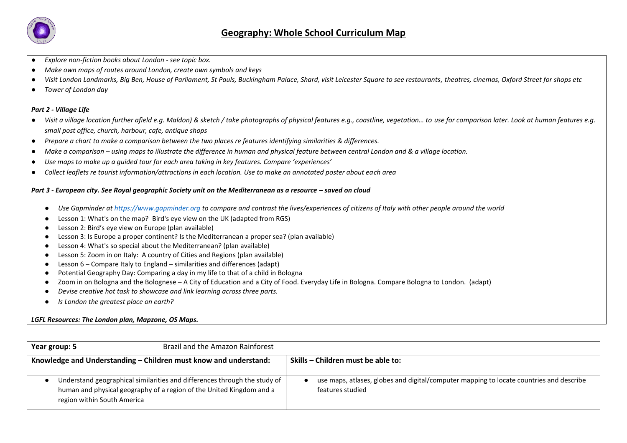

- *Explore non-fiction books about London - see topic box.*
- *Make own maps of routes around London, create own symbols and keys*
- *Visit London Landmarks, Big Ben, House of Parliament, St Pauls, Buckingham Palace, Shard, visit Leicester Square to see restaurants, theatres, cinemas, Oxford Street for shops etc*
- *Tower of London day*

#### *Part 2 - Village Life*

- Visit a village location further afield e.g. Maldon) & sketch / take photographs of physical features e.g., coastline, vegetation... to use for comparison later. Look at human features e.g. *small post office, church, harbour, cafe, antique shops*
- *Prepare a chart to make a comparison between the two places re features identifying similarities & differences.*
- *Make a comparison – using maps to illustrate the difference in human and physical feature between central London and & a village location.*
- *Use maps to make up a guided tour for each area taking in key features. Compare 'experiences'*
- *Collect leaflets re tourist information/attractions in each location. Use to make an annotated poster about each area*

#### *Part 3 - European city. See Royal geographic Society unit on the Mediterranean as a resource – saved on cloud*

- *Use Gapminder a[t https://www.gapminder.org](https://www.gapminder.org/) to compare and contrast the lives/experiences of citizens of Italy with other people around the world*
- Lesson 1: What's on the map? Bird's eye view on the UK (adapted from RGS)
- Lesson 2: Bird's eye view on Europe (plan available)
- Lesson 3: Is Europe a proper continent? Is the Mediterranean a proper sea? (plan available)
- Lesson 4: What's so special about the Mediterranean? (plan available)
- Lesson 5: Zoom in on Italy: A country of Cities and Regions (plan available)
- Lesson 6 Compare Italy to England similarities and differences (adapt)
- Potential Geography Day: Comparing a day in my life to that of a child in Bologna
- Zoom in on Bologna and the Bolognese A City of Education and a City of Food. Everyday Life in Bologna. Compare Bologna to London. (adapt)
- *Devise creative hot task to showcase and link learning across three parts.*
- *Is London the greatest place on earth?*

#### *LGFL Resources: The London plan, Mapzone, OS Maps.*

| Year group: 5                                                                                                                                                                      | Brazil and the Amazon Rainforest |                                                                                                             |
|------------------------------------------------------------------------------------------------------------------------------------------------------------------------------------|----------------------------------|-------------------------------------------------------------------------------------------------------------|
| Knowledge and Understanding - Children must know and understand:                                                                                                                   |                                  | Skills – Children must be able to:                                                                          |
| Understand geographical similarities and differences through the study of  <br>human and physical geography of a region of the United Kingdom and a<br>region within South America |                                  | use maps, atlases, globes and digital/computer mapping to locate countries and describe<br>features studied |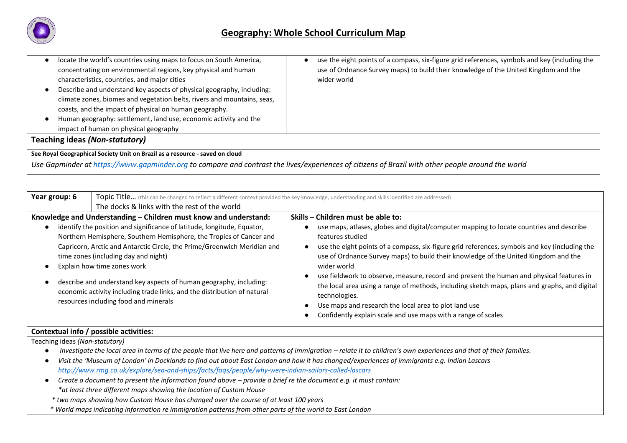

| locate the world's countries using maps to focus on South America,           | use the eight points of a compass, six-figure grid references, symbols and key (including the |  |  |  |
|------------------------------------------------------------------------------|-----------------------------------------------------------------------------------------------|--|--|--|
| concentrating on environmental regions, key physical and human               | use of Ordnance Survey maps) to build their knowledge of the United Kingdom and the           |  |  |  |
| characteristics, countries, and major cities                                 | wider world                                                                                   |  |  |  |
| Describe and understand key aspects of physical geography, including:        |                                                                                               |  |  |  |
| climate zones, biomes and vegetation belts, rivers and mountains, seas,      |                                                                                               |  |  |  |
| coasts, and the impact of physical on human geography.                       |                                                                                               |  |  |  |
| Human geography: settlement, land use, economic activity and the             |                                                                                               |  |  |  |
| impact of human on physical geography                                        |                                                                                               |  |  |  |
| Teaching ideas (Non-statutory)                                               |                                                                                               |  |  |  |
| See Royal Geographical Society Unit on Brazil as a resource - saved on cloud |                                                                                               |  |  |  |

*Use Gapminder at [https://www.gapminder.org](https://www.gapminder.org/) to compare and contrast the lives/experiences of citizens of Brazil with other people around the world*

| Year group: 6<br><b>Topic Title</b> (this can be changed to reflect a different context provided the key knowledge, understanding and skills identified are addressed)<br>The docks & links with the rest of the world |                                                                                                                                                                                                                                                                                                                                                                                                                                                                                              |                                                                                                                                                                                                                                                                                                                                                                                                                                                                                                                                                                                                                                                            |
|------------------------------------------------------------------------------------------------------------------------------------------------------------------------------------------------------------------------|----------------------------------------------------------------------------------------------------------------------------------------------------------------------------------------------------------------------------------------------------------------------------------------------------------------------------------------------------------------------------------------------------------------------------------------------------------------------------------------------|------------------------------------------------------------------------------------------------------------------------------------------------------------------------------------------------------------------------------------------------------------------------------------------------------------------------------------------------------------------------------------------------------------------------------------------------------------------------------------------------------------------------------------------------------------------------------------------------------------------------------------------------------------|
| Knowledge and Understanding - Children must know and understand:                                                                                                                                                       |                                                                                                                                                                                                                                                                                                                                                                                                                                                                                              | Skills – Children must be able to:                                                                                                                                                                                                                                                                                                                                                                                                                                                                                                                                                                                                                         |
|                                                                                                                                                                                                                        | identify the position and significance of latitude, longitude, Equator,<br>Northern Hemisphere, Southern Hemisphere, the Tropics of Cancer and<br>Capricorn, Arctic and Antarctic Circle, the Prime/Greenwich Meridian and<br>time zones (including day and night)<br>Explain how time zones work<br>describe and understand key aspects of human geography, including:<br>economic activity including trade links, and the distribution of natural<br>resources including food and minerals | use maps, atlases, globes and digital/computer mapping to locate countries and describe<br>features studied<br>use the eight points of a compass, six-figure grid references, symbols and key (including the<br>use of Ordnance Survey maps) to build their knowledge of the United Kingdom and the<br>wider world<br>use fieldwork to observe, measure, record and present the human and physical features in<br>the local area using a range of methods, including sketch maps, plans and graphs, and digital<br>technologies.<br>Use maps and research the local area to plot land use<br>Confidently explain scale and use maps with a range of scales |

# **Contextual info / possible activities:**

Teaching ideas *(Non-statutory)*

- *Investigate the local area in terms of the people that live here and patterns of immigration relate it to children's own experiences and that of their families.*
- *Visit the 'Museum of London' in Docklands to find out about East London and how it has changed/experiences of immigrants e.g. Indian Lascars <http://www.rmg.co.uk/explore/sea-and-ships/facts/faqs/people/why-were-indian-sailors-called-lascars>*
- *Create a document to present the information found above – provide a brief re the document e.g. it must contain: \*at least three different maps showing the location of Custom House* 
	- *\* two maps showing how Custom House has changed over the course of at least 100 years*
- *\* World maps indicating information re immigration patterns from other parts of the world to East London*